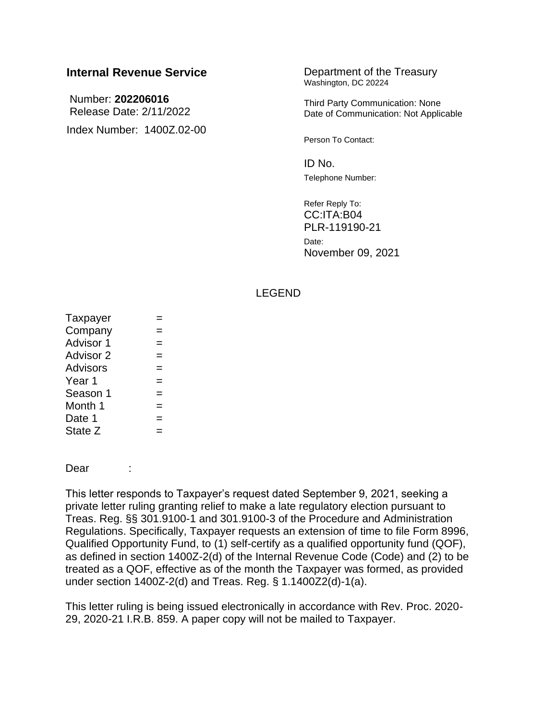# **Internal Revenue Service Department of the Treasury**

Number: **202206016** Release Date: 2/11/2022 Index Number: 1400Z.02-00 Washington, DC 20224

Third Party Communication: None Date of Communication: Not Applicable

Person To Contact:

 $ID$  No. Telephone Number:

Refer Reply To: CC:ITA:B04 PLR-119190-21 Date: November 09, 2021

#### LEGEND

| Taxpayer        |  |  |  |
|-----------------|--|--|--|
| Company         |  |  |  |
| Advisor 1       |  |  |  |
| Advisor 2       |  |  |  |
| <b>Advisors</b> |  |  |  |
| Year 1          |  |  |  |
| Season 1        |  |  |  |
| Month 1         |  |  |  |
| Date 1          |  |  |  |
| State Z         |  |  |  |

Dear :

This letter responds to Taxpayer's request dated September 9, 2021, seeking a private letter ruling granting relief to make a late regulatory election pursuant to Treas. Reg. §§ 301.9100-1 and 301.9100-3 of the Procedure and Administration Regulations. Specifically, Taxpayer requests an extension of time to file Form 8996, Qualified Opportunity Fund, to (1) self-certify as a qualified opportunity fund (QOF), as defined in section 1400Z-2(d) of the Internal Revenue Code (Code) and (2) to be treated as a QOF, effective as of the month the Taxpayer was formed, as provided under section 1400Z-2(d) and Treas. Reg. § 1.1400Z2(d)-1(a).

This letter ruling is being issued electronically in accordance with Rev. Proc. 2020- 29, 2020-21 I.R.B. 859. A paper copy will not be mailed to Taxpayer.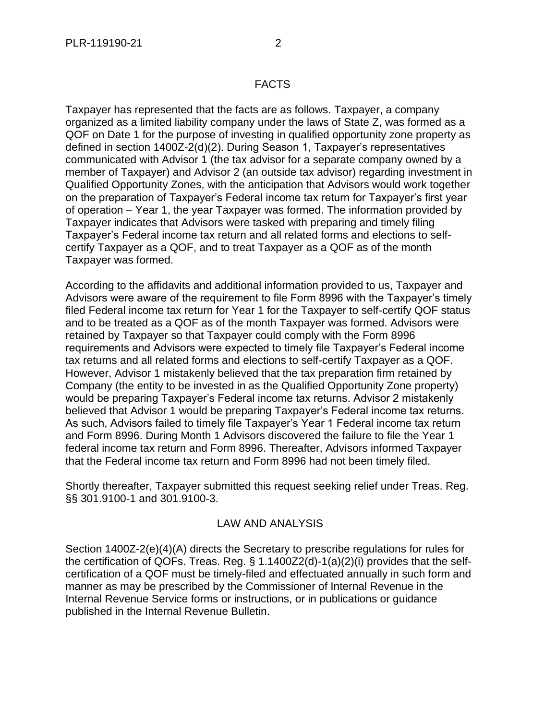## FACTS

Taxpayer has represented that the facts are as follows. Taxpayer, a company organized as a limited liability company under the laws of State Z, was formed as a QOF on Date 1 for the purpose of investing in qualified opportunity zone property as defined in section 1400Z-2(d)(2). During Season 1, Taxpayer's representatives communicated with Advisor 1 (the tax advisor for a separate company owned by a member of Taxpayer) and Advisor 2 (an outside tax advisor) regarding investment in Qualified Opportunity Zones, with the anticipation that Advisors would work together on the preparation of Taxpayer's Federal income tax return for Taxpayer's first year of operation – Year 1, the year Taxpayer was formed. The information provided by Taxpayer indicates that Advisors were tasked with preparing and timely filing Taxpayer's Federal income tax return and all related forms and elections to selfcertify Taxpayer as a QOF, and to treat Taxpayer as a QOF as of the month Taxpayer was formed.

According to the affidavits and additional information provided to us, Taxpayer and Advisors were aware of the requirement to file Form 8996 with the Taxpayer's timely filed Federal income tax return for Year 1 for the Taxpayer to self-certify QOF status and to be treated as a QOF as of the month Taxpayer was formed. Advisors were retained by Taxpayer so that Taxpayer could comply with the Form 8996 requirements and Advisors were expected to timely file Taxpayer's Federal income tax returns and all related forms and elections to self-certify Taxpayer as a QOF. However, Advisor 1 mistakenly believed that the tax preparation firm retained by Company (the entity to be invested in as the Qualified Opportunity Zone property) would be preparing Taxpayer's Federal income tax returns. Advisor 2 mistakenly believed that Advisor 1 would be preparing Taxpayer's Federal income tax returns. As such, Advisors failed to timely file Taxpayer's Year 1 Federal income tax return and Form 8996. During Month 1 Advisors discovered the failure to file the Year 1 federal income tax return and Form 8996. Thereafter, Advisors informed Taxpayer that the Federal income tax return and Form 8996 had not been timely filed.

Shortly thereafter, Taxpayer submitted this request seeking relief under Treas. Reg. §§ 301.9100-1 and 301.9100-3.

### LAW AND ANALYSIS

Section 1400Z-2(e)(4)(A) directs the Secretary to prescribe regulations for rules for the certification of QOFs. Treas. Reg. § 1.1400Z2(d)-1(a)(2)(i) provides that the selfcertification of a QOF must be timely-filed and effectuated annually in such form and manner as may be prescribed by the Commissioner of Internal Revenue in the Internal Revenue Service forms or instructions, or in publications or guidance published in the Internal Revenue Bulletin.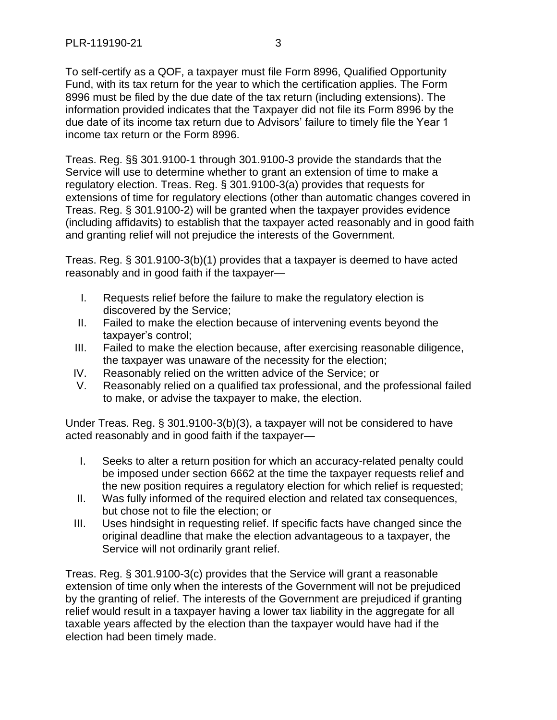To self-certify as a QOF, a taxpayer must file Form 8996, Qualified Opportunity Fund, with its tax return for the year to which the certification applies. The Form 8996 must be filed by the due date of the tax return (including extensions). The information provided indicates that the Taxpayer did not file its Form 8996 by the due date of its income tax return due to Advisors' failure to timely file the Year 1 income tax return or the Form 8996.

Treas. Reg. §§ 301.9100-1 through 301.9100-3 provide the standards that the Service will use to determine whether to grant an extension of time to make a regulatory election. Treas. Reg. § 301.9100-3(a) provides that requests for extensions of time for regulatory elections (other than automatic changes covered in Treas. Reg. § 301.9100-2) will be granted when the taxpayer provides evidence (including affidavits) to establish that the taxpayer acted reasonably and in good faith and granting relief will not prejudice the interests of the Government.

Treas. Reg. § 301.9100-3(b)(1) provides that a taxpayer is deemed to have acted reasonably and in good faith if the taxpayer—

- I. Requests relief before the failure to make the regulatory election is discovered by the Service;
- II. Failed to make the election because of intervening events beyond the taxpayer's control;
- III. Failed to make the election because, after exercising reasonable diligence, the taxpayer was unaware of the necessity for the election;
- IV. Reasonably relied on the written advice of the Service; or
- V. Reasonably relied on a qualified tax professional, and the professional failed to make, or advise the taxpayer to make, the election.

Under Treas. Reg. § 301.9100-3(b)(3), a taxpayer will not be considered to have acted reasonably and in good faith if the taxpayer—

- I. Seeks to alter a return position for which an accuracy-related penalty could be imposed under section 6662 at the time the taxpayer requests relief and the new position requires a regulatory election for which relief is requested;
- II. Was fully informed of the required election and related tax consequences, but chose not to file the election; or
- III. Uses hindsight in requesting relief. If specific facts have changed since the original deadline that make the election advantageous to a taxpayer, the Service will not ordinarily grant relief.

Treas. Reg. § 301.9100-3(c) provides that the Service will grant a reasonable extension of time only when the interests of the Government will not be prejudiced by the granting of relief. The interests of the Government are prejudiced if granting relief would result in a taxpayer having a lower tax liability in the aggregate for all taxable years affected by the election than the taxpayer would have had if the election had been timely made.